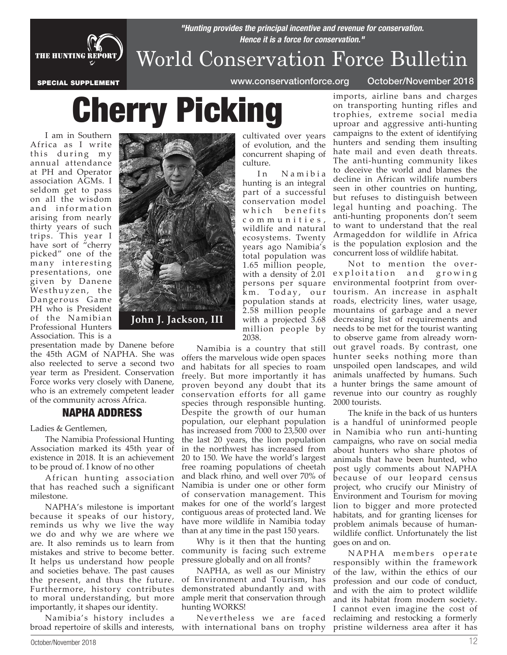

### *Hence it is a force for conservation."* World Conservation Force Bulletin

*"Hunting provides the principal incentive and revenue for conservation.* 

SPECIAL SUPPLEMENT www.conservationforce.org October/November 2018

# Cherry Picking

I am in Southern Africa as I write this during my annual attendance at PH and Operator association AGMs. I seldom get to pass on all the wisdom and information arising from nearly thirty years of such trips. This year I have sort of "cherry picked" one of the many interesting presentations, one given by Danene Westhuyzen, the Dangerous Game PH who is President of the Namibian Professional Hunters Association. This is a

presentation made by Danene before the 45th AGM of NAPHA. She was also reelected to serve a second two year term as President. Conservation Force works very closely with Danene, who is an extremely competent leader of the community across Africa.

#### NAPHA ADDRESS

Ladies & Gentlemen,

The Namibia Professional Hunting Association marked its 45th year of existence in 2018. It is an achievement to be proud of. I know of no other

African hunting association that has reached such a significant milestone.

NAPHA's milestone is important because it speaks of our history, reminds us why we live the way we do and why we are where we are. It also reminds us to learn from mistakes and strive to become better. It helps us understand how people and societies behave. The past causes the present, and thus the future. Furthermore, history contributes to moral understanding, but more importantly, it shapes our identity.

Namibia's history includes a broad repertoire of skills and interests,



cultivated over years of evolution, and the concurrent shaping of culture.

In Namibia hunting is an integral part of a successful conservation model which benefits c o m m u n i t i e s , wildlife and natural ecosystems. Twenty years ago Namibia's total population was 1.65 million people, with a density of 2.01 persons per square  $\mathrm{\dot{k}}\mathrm{\,m}$ . Today, our population stands at 2.58 million people with a projected 3.68 million people by 2038.

Namibia is a country that still offers the marvelous wide open spaces and habitats for all species to roam freely. But more importantly it has proven beyond any doubt that its conservation efforts for all game species through responsible hunting. Despite the growth of our human population, our elephant population has increased from 7000 to 23,500 over the last 20 years, the lion population in the northwest has increased from 20 to 150. We have the world's largest free roaming populations of cheetah and black rhino, and well over 70% of Namibia is under one or other form of conservation management. This makes for one of the world's largest contiguous areas of protected land. We have more wildlife in Namibia today than at any time in the past 150 years.

Why is it then that the hunting community is facing such extreme pressure globally and on all fronts?

NAPHA, as well as our Ministry of Environment and Tourism, has demonstrated abundantly and with ample merit that conservation through hunting WORKS!

Nevertheless we are faced with international bans on trophy

imports, airline bans and charges on transporting hunting rifles and trophies, extreme social media uproar and aggressive anti-hunting campaigns to the extent of identifying hunters and sending them insulting hate mail and even death threats. The anti-hunting community likes to deceive the world and blames the decline in African wildlife numbers seen in other countries on hunting, but refuses to distinguish between legal hunting and poaching. The anti-hunting proponents don't seem to want to understand that the real Armageddon for wildlife in Africa is the population explosion and the concurrent loss of wildlife habitat.

Not to mention the overexploitation and growing environmental footprint from overtourism. An increase in asphalt roads, electricity lines, water usage, mountains of garbage and a never decreasing list of requirements and needs to be met for the tourist wanting to observe game from already wornout gravel roads. By contrast, one hunter seeks nothing more than unspoiled open landscapes, and wild animals unaffected by humans. Such a hunter brings the same amount of revenue into our country as roughly 2000 tourists.

The knife in the back of us hunters is a handful of uninformed people in Namibia who run anti-hunting campaigns, who rave on social media about hunters who share photos of animals that have been hunted, who post ugly comments about NAPHA because of our leopard census project, who crucify our Ministry of Environment and Tourism for moving lion to bigger and more protected habitats, and for granting licenses for problem animals because of humanwildlife conflict. Unfortunately the list goes on and on.

NAPHA members operate responsibly within the framework of the law, within the ethics of our profession and our code of conduct, and with the aim to protect wildlife and its habitat from modern society. I cannot even imagine the cost of reclaiming and restocking a formerly pristine wilderness area after it has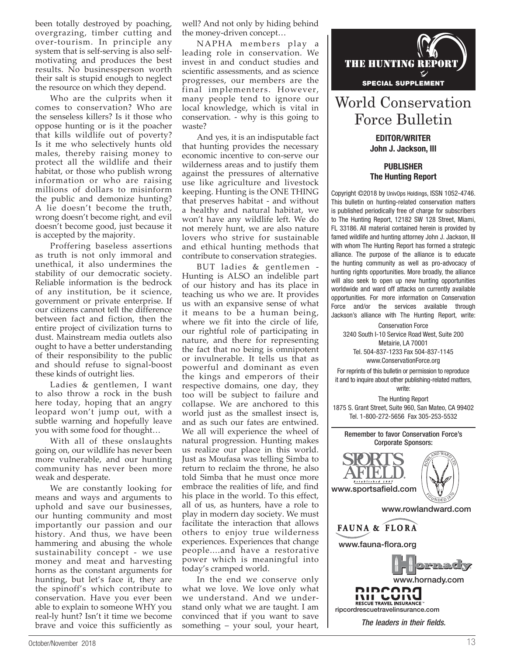been totally destroyed by poaching, overgrazing, timber cutting and over-tourism. In principle any system that is self-serving is also selfmotivating and produces the best results. No businessperson worth their salt is stupid enough to neglect the resource on which they depend.

Who are the culprits when it comes to conservation? Who are the senseless killers? Is it those who oppose hunting or is it the poacher that kills wildlife out of poverty? Is it me who selectively hunts old males, thereby raising money to protect all the wildlife and their habitat, or those who publish wrong information or who are raising millions of dollars to misinform the public and demonize hunting? A lie doesn't become the truth, wrong doesn't become right, and evil doesn't become good, just because it is accepted by the majority.

Proffering baseless assertions as truth is not only immoral and unethical, it also undermines the stability of our democratic society. Reliable information is the bedrock of any institution, be it science, government or private enterprise. If our citizens cannot tell the difference between fact and fiction, then the entire project of civilization turns to dust. Mainstream media outlets also ought to have a better understanding of their responsibility to the public and should refuse to signal-boost these kinds of outright lies.

Ladies & gentlemen, I want to also throw a rock in the bush here today, hoping that an angry leopard won't jump out, with a subtle warning and hopefully leave you with some food for thought…

With all of these onslaughts going on, our wildlife has never been more vulnerable, and our hunting community has never been more weak and desperate.

We are constantly looking for means and ways and arguments to uphold and save our businesses, our hunting community and most importantly our passion and our history. And thus, we have been hammering and abusing the whole sustainability concept - we use money and meat and harvesting horns as the constant arguments for hunting, but let's face it, they are the spinoff's which contribute to conservation. Have you ever been able to explain to someone WHY you real-ly hunt? Isn't it time we become brave and voice this sufficiently as

well? And not only by hiding behind the money-driven concept…

NAPHA members play a leading role in conservation. We invest in and conduct studies and scientific assessments, and as science progresses, our members are the final implementers. However, many people tend to ignore our local knowledge, which is vital in conservation. - why is this going to waste?

And yes, it is an indisputable fact that hunting provides the necessary economic incentive to con-serve our wilderness areas and to justify them against the pressures of alternative use like agriculture and livestock keeping. Hunting is the ONE THING that preserves habitat - and without a healthy and natural habitat, we won't have any wildlife left. We do not merely hunt, we are also nature lovers who strive for sustainable and ethical hunting methods that contribute to conservation strategies.

BUT ladies & gentlemen - Hunting is ALSO an indelible part of our history and has its place in teaching us who we are. It provides us with an expansive sense of what it means to be a human being, where we fit into the circle of life, our rightful role of participating in nature, and there for representing the fact that no being is omnipotent or invulnerable. It tells us that as powerful and dominant as even the kings and emperors of their respective domains, one day, they too will be subject to failure and collapse. We are anchored to this world just as the smallest insect is, and as such our fates are entwined. We all will experience the wheel of natural progression. Hunting makes us realize our place in this world. Just as Moufasa was telling Simba to return to reclaim the throne, he also told Simba that he must once more embrace the realities of life, and find his place in the world. To this effect, all of us, as hunters, have a role to play in modern day society. We must facilitate the interaction that allows others to enjoy true wilderness experiences. Experiences that change people....and have a restorative power which is meaningful into today's cramped world.

In the end we conserve only what we love. We love only what we understand. And we understand only what we are taught. I am convinced that if you want to save something – your soul, your heart,



### World Conservation Force Bulletin

EDITOR/WRITER John J. Jackson, III

PUBLISHER The Hunting Report

Copyright ©2018 by UnivOps Holdings, ISSN 1052-4746. This bulletin on hunting-related conservation matters is published periodically free of charge for subscribers to The Hunting Report, 12182 SW 128 Street, Miami, FL 33186. All material contained herein is provided by famed wildlife and hunting attorney John J. Jackson, III with whom The Hunting Report has formed a strategic alliance. The purpose of the alliance is to educate the hunting community as well as pro-advocacy of hunting rights opportunities. More broadly, the alliance will also seek to open up new hunting opportunities worldwide and ward off attacks on currently available opportunities. For more information on Conservation Force and/or the services available through Jackson's alliance with The Hunting Report, write:

Conservation Force 3240 South I-10 Service Road West, Suite 200 Metairie, LA 70001 Tel. 504-837-1233 Fax 504-837-1145 www.ConservationForce.org

For reprints of this bulletin or permission to reproduce it and to inquire about other publishing-related matters, write:

The Hunting Report 1875 S. Grant Street, Suite 960, San Mateo, CA 99402 Tel. 1-800-272-5656 Fax 305-253-5532

Remember to favor Conservation Force's Corporate Sponsors:



www.rowlandward.com

#### **FAUNA & FLORA**

www.fauna-flora.org



*The leaders in their fields.*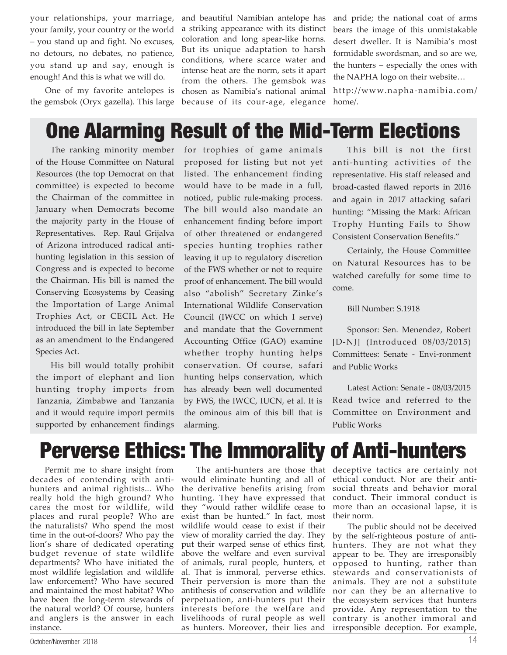your relationships, your marriage, your family, your country or the world – you stand up and fight. No excuses, no detours, no debates, no patience, you stand up and say, enough is enough! And this is what we will do.

One of my favorite antelopes is the gemsbok (Oryx gazella). This large and beautiful Namibian antelope has a striking appearance with its distinct coloration and long spear-like horns. But its unique adaptation to harsh conditions, where scarce water and intense heat are the norm, sets it apart from the others. The gemsbok was chosen as Namibia's national animal because of its cour-age, elegance

and pride; the national coat of arms bears the image of this unmistakable desert dweller. It is Namibia's most formidable swordsman, and so are we, the hunters – especially the ones with the NAPHA logo on their website…

http://www.napha-namibia.com/ home/.

## One Alarming Result of the Mid-Term Elections

The ranking minority member of the House Committee on Natural Resources (the top Democrat on that committee) is expected to become the Chairman of the committee in January when Democrats become the majority party in the House of Representatives. Rep. Raul Grijalva of Arizona introduced radical antihunting legislation in this session of Congress and is expected to become the Chairman. His bill is named the Conserving Ecosystems by Ceasing the Importation of Large Animal Trophies Act, or CECIL Act. He introduced the bill in late September as an amendment to the Endangered Species Act.

His bill would totally prohibit the import of elephant and lion hunting trophy imports from Tanzania, Zimbabwe and Tanzania and it would require import permits supported by enhancement findings

for trophies of game animals proposed for listing but not yet listed. The enhancement finding would have to be made in a full, noticed, public rule-making process. The bill would also mandate an enhancement finding before import of other threatened or endangered species hunting trophies rather leaving it up to regulatory discretion of the FWS whether or not to require proof of enhancement. The bill would also "abolish" Secretary Zinke's International Wildlife Conservation Council (IWCC on which I serve) and mandate that the Government Accounting Office (GAO) examine whether trophy hunting helps conservation. Of course, safari hunting helps conservation, which has already been well documented by FWS, the IWCC, IUCN, et al. It is the ominous aim of this bill that is alarming.

This bill is not the first anti-hunting activities of the representative. His staff released and broad-casted flawed reports in 2016 and again in 2017 attacking safari hunting: "Missing the Mark: African Trophy Hunting Fails to Show Consistent Conservation Benefits."

Certainly, the House Committee on Natural Resources has to be watched carefully for some time to come.

Bill Number: S.1918

Sponsor: Sen. Menendez, Robert [D-NJ] (Introduced 08/03/2015) Committees: Senate - Envi-ronment and Public Works

Latest Action: Senate - 08/03/2015 Read twice and referred to the Committee on Environment and Public Works

# Perverse Ethics: The Immorality of Anti-hunters

Permit me to share insight from decades of contending with antihunters and animal rightists... Who really hold the high ground? Who cares the most for wildlife, wild places and rural people? Who are the naturalists? Who spend the most time in the out-of-doors? Who pay the lion's share of dedicated operating budget revenue of state wildlife departments? Who have initiated the most wildlife legislation and wildlife law enforcement? Who have secured and maintained the most habitat? Who have been the long-term stewards of the natural world? Of course, hunters and anglers is the answer in each instance.

would eliminate hunting and all of ethical conduct. Nor are their antithe derivative benefits arising from social threats and behavior moral hunting. They have expressed that they "would rather wildlife cease to exist than be hunted." In fact, most wildlife would cease to exist if their view of morality carried the day. They put their warped sense of ethics first, above the welfare and even survival of animals, rural people, hunters, et al. That is immoral, perverse ethics. Their perversion is more than the antithesis of conservation and wildlife perpetuation, anti-hunters put their interests before the welfare and livelihoods of rural people as well as hunters. Moreover, their lies and

The anti-hunters are those that deceptive tactics are certainly not conduct. Their immoral conduct is more than an occasional lapse, it is their norm.

> The public should not be deceived by the self-righteous posture of antihunters. They are not what they appear to be. They are irresponsibly opposed to hunting, rather than stewards and conservationists of animals. They are not a substitute nor can they be an alternative to the ecosystem services that hunters provide. Any representation to the contrary is another immoral and irresponsible deception. For example,